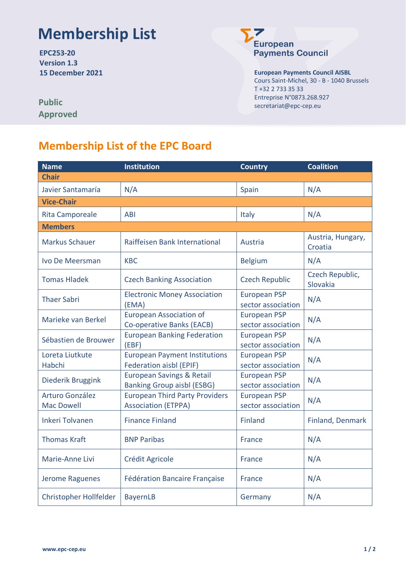## **Membership List**

**EPC253-20 Version 1.3**



**15 December 2021 European Payments Council AISBL** Cours Saint-Michel, 30 - B - 1040 Brussels T +32 2 733 35 33 Entreprise N°0873.268.927 secretariat@epc-cep.eu

| <b>Public</b>   |
|-----------------|
| <b>Approved</b> |

## **Membership List of the EPC Board**

| <b>Name</b>                          | <b>Institution</b>                                                        | <b>Country</b>                            | <b>Coalition</b>             |
|--------------------------------------|---------------------------------------------------------------------------|-------------------------------------------|------------------------------|
| <b>Chair</b>                         |                                                                           |                                           |                              |
| Javier Santamaría                    | N/A                                                                       | Spain                                     | N/A                          |
| <b>Vice-Chair</b>                    |                                                                           |                                           |                              |
| <b>Rita Camporeale</b>               | <b>ABI</b>                                                                | Italy                                     | N/A                          |
| <b>Members</b>                       |                                                                           |                                           |                              |
| <b>Markus Schauer</b>                | Raiffeisen Bank International                                             | Austria                                   | Austria, Hungary,<br>Croatia |
| Ivo De Meersman                      | <b>KBC</b>                                                                | <b>Belgium</b>                            | N/A                          |
| <b>Tomas Hladek</b>                  | <b>Czech Banking Association</b>                                          | <b>Czech Republic</b>                     | Czech Republic,<br>Slovakia  |
| <b>Thaer Sabri</b>                   | <b>Electronic Money Association</b><br>(EMA)                              | <b>European PSP</b><br>sector association | N/A                          |
| Marieke van Berkel                   | <b>European Association of</b><br>Co-operative Banks (EACB)               | <b>European PSP</b><br>sector association | N/A                          |
| Sébastien de Brouwer                 | <b>European Banking Federation</b><br>(EBF)                               | <b>European PSP</b><br>sector association | N/A                          |
| Loreta Liutkute<br>Habchi            | <b>European Payment Institutions</b><br>Federation aisbl (EPIF)           | <b>European PSP</b><br>sector association | N/A                          |
| Diederik Bruggink                    | <b>European Savings &amp; Retail</b><br><b>Banking Group aisbl (ESBG)</b> | <b>European PSP</b><br>sector association | N/A                          |
| Arturo González<br><b>Mac Dowell</b> | <b>European Third Party Providers</b><br><b>Association (ETPPA)</b>       | <b>European PSP</b><br>sector association | N/A                          |
| <b>Inkeri Tolvanen</b>               | <b>Finance Finland</b>                                                    | <b>Finland</b>                            | Finland, Denmark             |
| <b>Thomas Kraft</b>                  | <b>BNP Paribas</b>                                                        | France                                    | N/A                          |
| Marie-Anne Livi                      | Crédit Agricole                                                           | France                                    | N/A                          |
| Jerome Raguenes                      | <b>Fédération Bancaire Française</b>                                      | France                                    | N/A                          |
| Christopher Hollfelder               | <b>BayernLB</b>                                                           | Germany                                   | N/A                          |